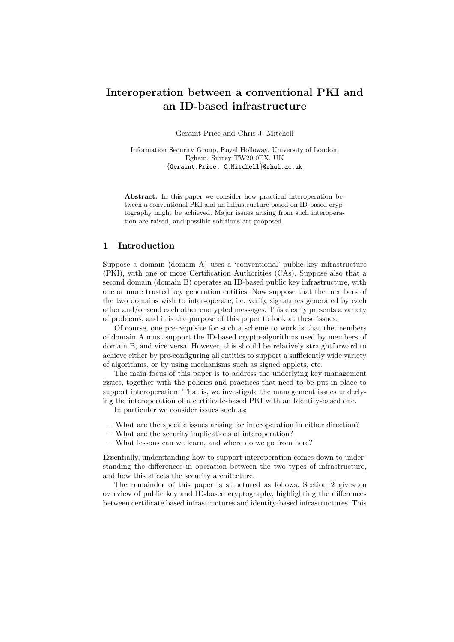# Interoperation between a conventional PKI and an ID-based infrastructure

Geraint Price and Chris J. Mitchell

Information Security Group, Royal Holloway, University of London, Egham, Surrey TW20 0EX, UK {Geraint.Price, C.Mitchell}@rhul.ac.uk

Abstract. In this paper we consider how practical interoperation between a conventional PKI and an infrastructure based on ID-based cryptography might be achieved. Major issues arising from such interoperation are raised, and possible solutions are proposed.

# 1 Introduction

Suppose a domain (domain A) uses a 'conventional' public key infrastructure (PKI), with one or more Certification Authorities (CAs). Suppose also that a second domain (domain B) operates an ID-based public key infrastructure, with one or more trusted key generation entities. Now suppose that the members of the two domains wish to inter-operate, i.e. verify signatures generated by each other and/or send each other encrypted messages. This clearly presents a variety of problems, and it is the purpose of this paper to look at these issues.

Of course, one pre-requisite for such a scheme to work is that the members of domain A must support the ID-based crypto-algorithms used by members of domain B, and vice versa. However, this should be relatively straightforward to achieve either by pre-configuring all entities to support a sufficiently wide variety of algorithms, or by using mechanisms such as signed applets, etc.

The main focus of this paper is to address the underlying key management issues, together with the policies and practices that need to be put in place to support interoperation. That is, we investigate the management issues underlying the interoperation of a certificate-based PKI with an Identity-based one.

In particular we consider issues such as:

- What are the specific issues arising for interoperation in either direction?
- What are the security implications of interoperation?
- What lessons can we learn, and where do we go from here?

Essentially, understanding how to support interoperation comes down to understanding the differences in operation between the two types of infrastructure, and how this affects the security architecture.

The remainder of this paper is structured as follows. Section 2 gives an overview of public key and ID-based cryptography, highlighting the differences between certificate based infrastructures and identity-based infrastructures. This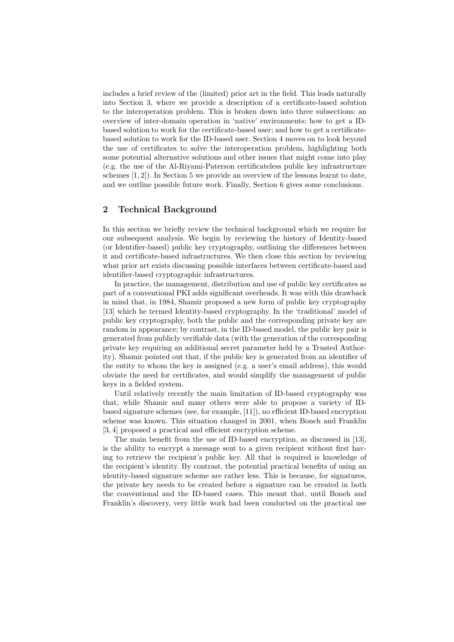includes a brief review of the (limited) prior art in the field. This leads naturally into Section 3, where we provide a description of a certificate-based solution to the interoperation problem. This is broken down into three subsections: an overview of inter-domain operation in 'native' environments; how to get a IDbased solution to work for the certificate-based user; and how to get a certificatebased solution to work for the ID-based user. Section 4 moves on to look beyond the use of certificates to solve the interoperation problem, highlighting both some potential alternative solutions and other issues that might come into play (e.g. the use of the Al-Riyami-Paterson certificateless public key infrastructure schemes [1, 2]). In Section 5 we provide an overview of the lessons learnt to date, and we outline possible future work. Finally, Section 6 gives some conclusions.

# 2 Technical Background

In this section we briefly review the technical background which we require for our subsequent analysis. We begin by reviewing the history of Identity-based (or Identifier-based) public key cryptography, outlining the differences between it and certificate-based infrastructures. We then close this section by reviewing what prior art exists discussing possible interfaces between certificate-based and identifier-based cryptographic infrastructures.

In practice, the management, distribution and use of public key certificates as part of a conventional PKI adds significant overheads. It was with this drawback in mind that, in 1984, Shamir proposed a new form of public key cryptography [13] which he termed Identity-based cryptography. In the 'traditional' model of public key cryptography, both the public and the corresponding private key are random in appearance; by contrast, in the ID-based model, the public key pair is generated from publicly verifiable data (with the generation of the corresponding private key requiring an additional secret parameter held by a Trusted Authority). Shamir pointed out that, if the public key is generated from an identifier of the entity to whom the key is assigned (e.g. a user's email address), this would obviate the need for certificates, and would simplify the management of public keys in a fielded system.

Until relatively recently the main limitation of ID-based cryptography was that, while Shamir and many others were able to propose a variety of IDbased signature schemes (see, for example, [11]), no efficient ID-based encryption scheme was known. This situation changed in 2001, when Boneh and Franklin [3, 4] proposed a practical and efficient encryption scheme.

The main benefit from the use of ID-based encryption, as discussed in [13], is the ability to encrypt a message sent to a given recipient without first having to retrieve the recipient's public key. All that is required is knowledge of the recipient's identity. By contrast, the potential practical benefits of using an identity-based signature scheme are rather less. This is because, for signatures, the private key needs to be created before a signature can be created in both the conventional and the ID-based cases. This meant that, until Boneh and Franklin's discovery, very little work had been conducted on the practical use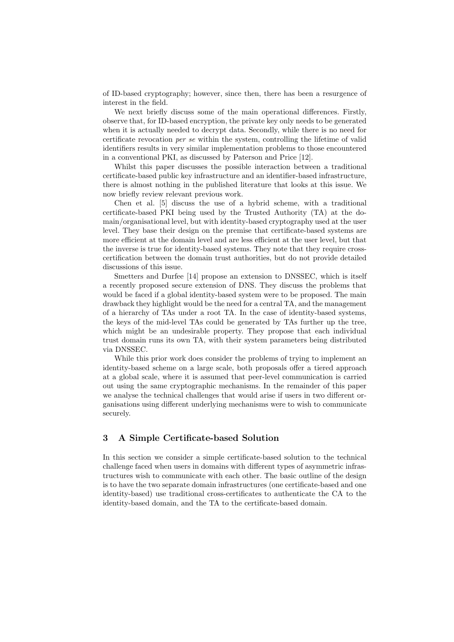of ID-based cryptography; however, since then, there has been a resurgence of interest in the field.

We next briefly discuss some of the main operational differences. Firstly, observe that, for ID-based encryption, the private key only needs to be generated when it is actually needed to decrypt data. Secondly, while there is no need for certificate revocation per se within the system, controlling the lifetime of valid identifiers results in very similar implementation problems to those encountered in a conventional PKI, as discussed by Paterson and Price [12].

Whilst this paper discusses the possible interaction between a traditional certificate-based public key infrastructure and an identifier-based infrastructure, there is almost nothing in the published literature that looks at this issue. We now briefly review relevant previous work.

Chen et al. [5] discuss the use of a hybrid scheme, with a traditional certificate-based PKI being used by the Trusted Authority (TA) at the domain/organisational level, but with identity-based cryptography used at the user level. They base their design on the premise that certificate-based systems are more efficient at the domain level and are less efficient at the user level, but that the inverse is true for identity-based systems. They note that they require crosscertification between the domain trust authorities, but do not provide detailed discussions of this issue.

Smetters and Durfee [14] propose an extension to DNSSEC, which is itself a recently proposed secure extension of DNS. They discuss the problems that would be faced if a global identity-based system were to be proposed. The main drawback they highlight would be the need for a central TA, and the management of a hierarchy of TAs under a root TA. In the case of identity-based systems, the keys of the mid-level TAs could be generated by TAs further up the tree, which might be an undesirable property. They propose that each individual trust domain runs its own TA, with their system parameters being distributed via DNSSEC.

While this prior work does consider the problems of trying to implement an identity-based scheme on a large scale, both proposals offer a tiered approach at a global scale, where it is assumed that peer-level communication is carried out using the same cryptographic mechanisms. In the remainder of this paper we analyse the technical challenges that would arise if users in two different organisations using different underlying mechanisms were to wish to communicate securely.

# 3 A Simple Certificate-based Solution

In this section we consider a simple certificate-based solution to the technical challenge faced when users in domains with different types of asymmetric infrastructures wish to communicate with each other. The basic outline of the design is to have the two separate domain infrastructures (one certificate-based and one identity-based) use traditional cross-certificates to authenticate the CA to the identity-based domain, and the TA to the certificate-based domain.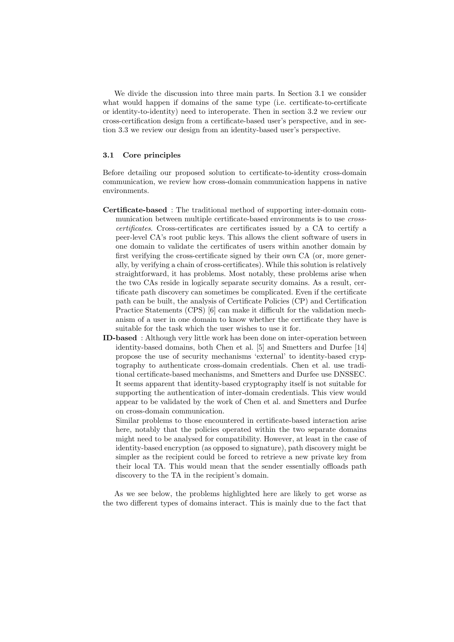We divide the discussion into three main parts. In Section 3.1 we consider what would happen if domains of the same type (i.e. certificate-to-certificate or identity-to-identity) need to interoperate. Then in section 3.2 we review our cross-certification design from a certificate-based user's perspective, and in section 3.3 we review our design from an identity-based user's perspective.

## 3.1 Core principles

Before detailing our proposed solution to certificate-to-identity cross-domain communication, we review how cross-domain communication happens in native environments.

- Certificate-based : The traditional method of supporting inter-domain communication between multiple certificate-based environments is to use crosscertificates. Cross-certificates are certificates issued by a CA to certify a peer-level CA's root public keys. This allows the client software of users in one domain to validate the certificates of users within another domain by first verifying the cross-certificate signed by their own CA (or, more generally, by verifying a chain of cross-certificates). While this solution is relatively straightforward, it has problems. Most notably, these problems arise when the two CAs reside in logically separate security domains. As a result, certificate path discovery can sometimes be complicated. Even if the certificate path can be built, the analysis of Certificate Policies (CP) and Certification Practice Statements (CPS) [6] can make it difficult for the validation mechanism of a user in one domain to know whether the certificate they have is suitable for the task which the user wishes to use it for.
- ID-based : Although very little work has been done on inter-operation between identity-based domains, both Chen et al. [5] and Smetters and Durfee [14] propose the use of security mechanisms 'external' to identity-based cryptography to authenticate cross-domain credentials. Chen et al. use traditional certificate-based mechanisms, and Smetters and Durfee use DNSSEC. It seems apparent that identity-based cryptography itself is not suitable for supporting the authentication of inter-domain credentials. This view would appear to be validated by the work of Chen et al. and Smetters and Durfee on cross-domain communication.

Similar problems to those encountered in certificate-based interaction arise here, notably that the policies operated within the two separate domains might need to be analysed for compatibility. However, at least in the case of identity-based encryption (as opposed to signature), path discovery might be simpler as the recipient could be forced to retrieve a new private key from their local TA. This would mean that the sender essentially offloads path discovery to the TA in the recipient's domain.

As we see below, the problems highlighted here are likely to get worse as the two different types of domains interact. This is mainly due to the fact that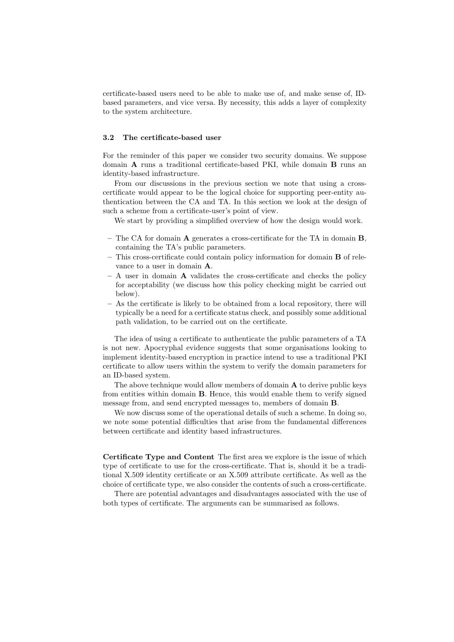certificate-based users need to be able to make use of, and make sense of, IDbased parameters, and vice versa. By necessity, this adds a layer of complexity to the system architecture.

# 3.2 The certificate-based user

For the reminder of this paper we consider two security domains. We suppose domain  $\bf{A}$  runs a traditional certificate-based PKI, while domain  $\bf{B}$  runs an identity-based infrastructure.

From our discussions in the previous section we note that using a crosscertificate would appear to be the logical choice for supporting peer-entity authentication between the CA and TA. In this section we look at the design of such a scheme from a certificate-user's point of view.

We start by providing a simplified overview of how the design would work.

- The CA for domain  $A$  generates a cross-certificate for the TA in domain  $B$ , containing the TA's public parameters.
- This cross-certificate could contain policy information for domain B of relevance to a user in domain A.
- $A$  user in domain **A** validates the cross-certificate and checks the policy for acceptability (we discuss how this policy checking might be carried out below).
- As the certificate is likely to be obtained from a local repository, there will typically be a need for a certificate status check, and possibly some additional path validation, to be carried out on the certificate.

The idea of using a certificate to authenticate the public parameters of a TA is not new. Apocryphal evidence suggests that some organisations looking to implement identity-based encryption in practice intend to use a traditional PKI certificate to allow users within the system to verify the domain parameters for an ID-based system.

The above technique would allow members of domain  $A$  to derive public keys from entities within domain B. Hence, this would enable them to verify signed message from, and send encrypted messages to, members of domain B.

We now discuss some of the operational details of such a scheme. In doing so, we note some potential difficulties that arise from the fundamental differences between certificate and identity based infrastructures.

Certificate Type and Content The first area we explore is the issue of which type of certificate to use for the cross-certificate. That is, should it be a traditional X.509 identity certificate or an X.509 attribute certificate. As well as the choice of certificate type, we also consider the contents of such a cross-certificate.

There are potential advantages and disadvantages associated with the use of both types of certificate. The arguments can be summarised as follows.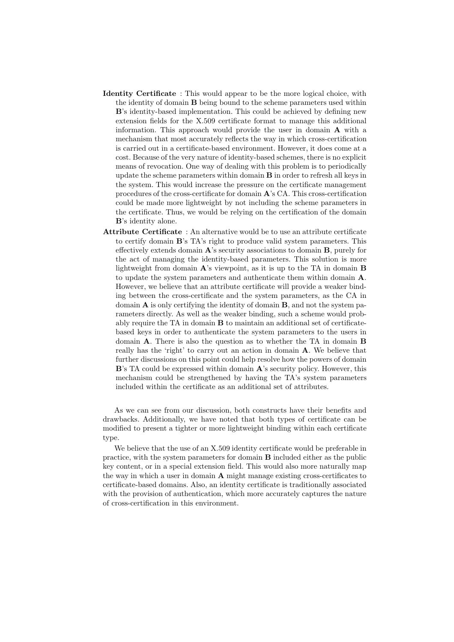- Identity Certificate : This would appear to be the more logical choice, with the identity of domain B being bound to the scheme parameters used within B's identity-based implementation. This could be achieved by defining new extension fields for the X.509 certificate format to manage this additional information. This approach would provide the user in domain A with a mechanism that most accurately reflects the way in which cross-certification is carried out in a certificate-based environment. However, it does come at a cost. Because of the very nature of identity-based schemes, there is no explicit means of revocation. One way of dealing with this problem is to periodically update the scheme parameters within domain  $\bf{B}$  in order to refresh all keys in the system. This would increase the pressure on the certificate management procedures of the cross-certificate for domain A's CA. This cross-certification could be made more lightweight by not including the scheme parameters in the certificate. Thus, we would be relying on the certification of the domain B's identity alone.
- Attribute Certificate : An alternative would be to use an attribute certificate to certify domain B's TA's right to produce valid system parameters. This effectively extends domain A's security associations to domain B, purely for the act of managing the identity-based parameters. This solution is more lightweight from domain A's viewpoint, as it is up to the TA in domain B to update the system parameters and authenticate them within domain A. However, we believe that an attribute certificate will provide a weaker binding between the cross-certificate and the system parameters, as the CA in domain  $\bf{A}$  is only certifying the identity of domain  $\bf{B}$ , and not the system parameters directly. As well as the weaker binding, such a scheme would probably require the TA in domain B to maintain an additional set of certificatebased keys in order to authenticate the system parameters to the users in domain A. There is also the question as to whether the TA in domain B really has the 'right' to carry out an action in domain A. We believe that further discussions on this point could help resolve how the powers of domain B's TA could be expressed within domain A's security policy. However, this mechanism could be strengthened by having the TA's system parameters included within the certificate as an additional set of attributes.

As we can see from our discussion, both constructs have their benefits and drawbacks. Additionally, we have noted that both types of certificate can be modified to present a tighter or more lightweight binding within each certificate type.

We believe that the use of an X.509 identity certificate would be preferable in practice, with the system parameters for domain B included either as the public key content, or in a special extension field. This would also more naturally map the way in which a user in domain A might manage existing cross-certificates to certificate-based domains. Also, an identity certificate is traditionally associated with the provision of authentication, which more accurately captures the nature of cross-certification in this environment.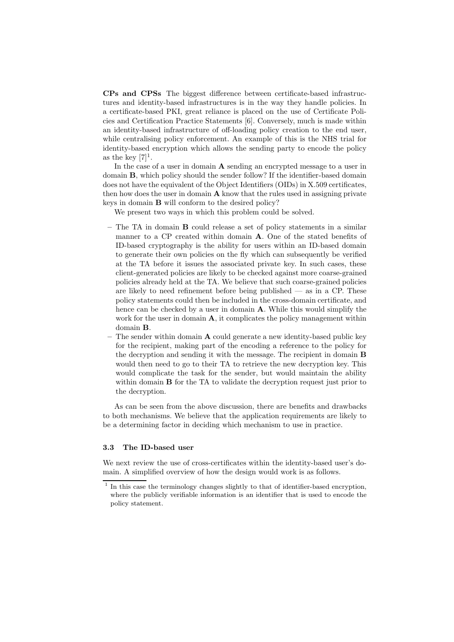CPs and CPSs The biggest difference between certificate-based infrastructures and identity-based infrastructures is in the way they handle policies. In a certificate-based PKI, great reliance is placed on the use of Certificate Policies and Certification Practice Statements [6]. Conversely, much is made within an identity-based infrastructure of off-loading policy creation to the end user, while centralising policy enforcement. An example of this is the NHS trial for identity-based encryption which allows the sending party to encode the policy as the key  $[7]^1$ .

In the case of a user in domain A sending an encrypted message to a user in domain B, which policy should the sender follow? If the identifier-based domain does not have the equivalent of the Object Identifiers (OIDs) in X.509 certificates, then how does the user in domain  $\bf{A}$  know that the rules used in assigning private keys in domain B will conform to the desired policy?

We present two ways in which this problem could be solved.

- The TA in domain B could release a set of policy statements in a similar manner to a CP created within domain A. One of the stated benefits of ID-based cryptography is the ability for users within an ID-based domain to generate their own policies on the fly which can subsequently be verified at the TA before it issues the associated private key. In such cases, these client-generated policies are likely to be checked against more coarse-grained policies already held at the TA. We believe that such coarse-grained policies are likely to need refinement before being published — as in a  $\text{CP}$ . These policy statements could then be included in the cross-domain certificate, and hence can be checked by a user in domain A. While this would simplify the work for the user in domain  $\bf{A}$ , it complicates the policy management within domain B.
- The sender within domain  $A$  could generate a new identity-based public key for the recipient, making part of the encoding a reference to the policy for the decryption and sending it with the message. The recipient in domain B would then need to go to their TA to retrieve the new decryption key. This would complicate the task for the sender, but would maintain the ability within domain **B** for the TA to validate the decryption request just prior to the decryption.

As can be seen from the above discussion, there are benefits and drawbacks to both mechanisms. We believe that the application requirements are likely to be a determining factor in deciding which mechanism to use in practice.

### 3.3 The ID-based user

We next review the use of cross-certificates within the identity-based user's domain. A simplified overview of how the design would work is as follows.

<sup>&</sup>lt;sup>1</sup> In this case the terminology changes slightly to that of identifier-based encryption, where the publicly verifiable information is an identifier that is used to encode the policy statement.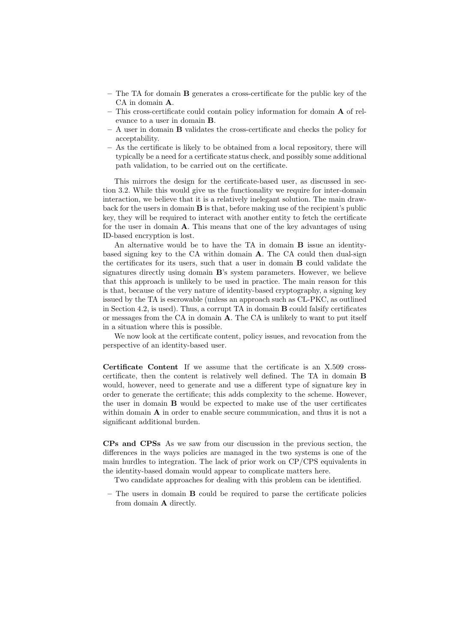- The TA for domain B generates a cross-certificate for the public key of the CA in domain **A**.
- This cross-certificate could contain policy information for domain A of relevance to a user in domain B.
- A user in domain B validates the cross-certificate and checks the policy for acceptability.
- As the certificate is likely to be obtained from a local repository, there will typically be a need for a certificate status check, and possibly some additional path validation, to be carried out on the certificate.

This mirrors the design for the certificate-based user, as discussed in section 3.2. While this would give us the functionality we require for inter-domain interaction, we believe that it is a relatively inelegant solution. The main drawback for the users in domain B is that, before making use of the recipient's public key, they will be required to interact with another entity to fetch the certificate for the user in domain A. This means that one of the key advantages of using ID-based encryption is lost.

An alternative would be to have the TA in domain B issue an identitybased signing key to the CA within domain A. The CA could then dual-sign the certificates for its users, such that a user in domain B could validate the signatures directly using domain B's system parameters. However, we believe that this approach is unlikely to be used in practice. The main reason for this is that, because of the very nature of identity-based cryptography, a signing key issued by the TA is escrowable (unless an approach such as CL-PKC, as outlined in Section 4.2, is used). Thus, a corrupt TA in domain B could falsify certificates or messages from the CA in domain A. The CA is unlikely to want to put itself in a situation where this is possible.

We now look at the certificate content, policy issues, and revocation from the perspective of an identity-based user.

Certificate Content If we assume that the certificate is an X.509 crosscertificate, then the content is relatively well defined. The TA in domain B would, however, need to generate and use a different type of signature key in order to generate the certificate; this adds complexity to the scheme. However, the user in domain B would be expected to make use of the user certificates within domain **A** in order to enable secure communication, and thus it is not a significant additional burden.

CPs and CPSs As we saw from our discussion in the previous section, the differences in the ways policies are managed in the two systems is one of the main hurdles to integration. The lack of prior work on CP/CPS equivalents in the identity-based domain would appear to complicate matters here.

Two candidate approaches for dealing with this problem can be identified.

 $-$  The users in domain **B** could be required to parse the certificate policies from domain A directly.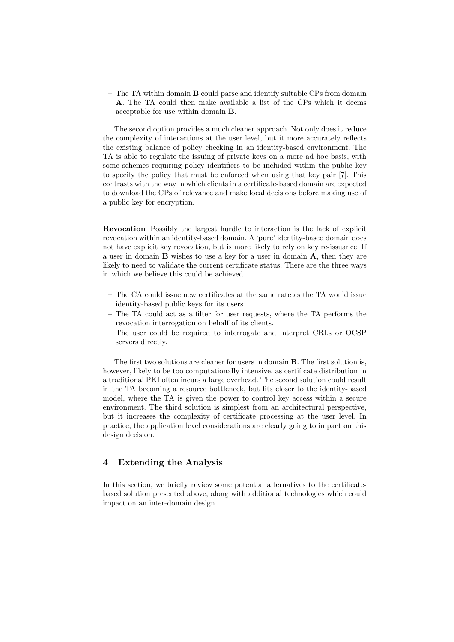– The TA within domain B could parse and identify suitable CPs from domain A. The TA could then make available a list of the CPs which it deems acceptable for use within domain B.

The second option provides a much cleaner approach. Not only does it reduce the complexity of interactions at the user level, but it more accurately reflects the existing balance of policy checking in an identity-based environment. The TA is able to regulate the issuing of private keys on a more ad hoc basis, with some schemes requiring policy identifiers to be included within the public key to specify the policy that must be enforced when using that key pair [7]. This contrasts with the way in which clients in a certificate-based domain are expected to download the CPs of relevance and make local decisions before making use of a public key for encryption.

Revocation Possibly the largest hurdle to interaction is the lack of explicit revocation within an identity-based domain. A 'pure' identity-based domain does not have explicit key revocation, but is more likely to rely on key re-issuance. If a user in domain B wishes to use a key for a user in domain A, then they are likely to need to validate the current certificate status. There are the three ways in which we believe this could be achieved.

- The CA could issue new certificates at the same rate as the TA would issue identity-based public keys for its users.
- The TA could act as a filter for user requests, where the TA performs the revocation interrogation on behalf of its clients.
- The user could be required to interrogate and interpret CRLs or OCSP servers directly.

The first two solutions are cleaner for users in domain B. The first solution is, however, likely to be too computationally intensive, as certificate distribution in a traditional PKI often incurs a large overhead. The second solution could result in the TA becoming a resource bottleneck, but fits closer to the identity-based model, where the TA is given the power to control key access within a secure environment. The third solution is simplest from an architectural perspective, but it increases the complexity of certificate processing at the user level. In practice, the application level considerations are clearly going to impact on this design decision.

# 4 Extending the Analysis

In this section, we briefly review some potential alternatives to the certificatebased solution presented above, along with additional technologies which could impact on an inter-domain design.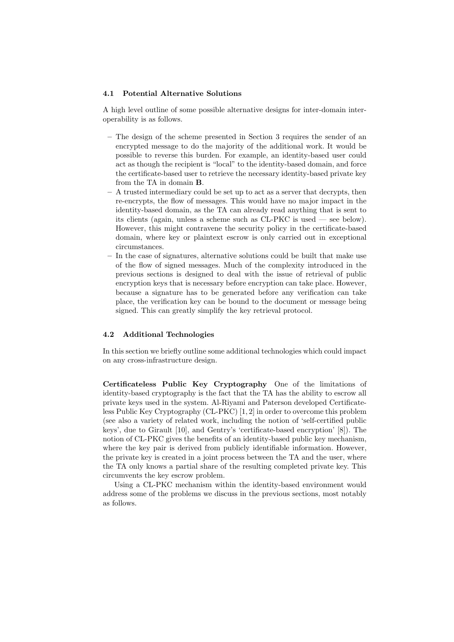#### 4.1 Potential Alternative Solutions

A high level outline of some possible alternative designs for inter-domain interoperability is as follows.

- The design of the scheme presented in Section 3 requires the sender of an encrypted message to do the majority of the additional work. It would be possible to reverse this burden. For example, an identity-based user could act as though the recipient is "local" to the identity-based domain, and force the certificate-based user to retrieve the necessary identity-based private key from the TA in domain B.
- A trusted intermediary could be set up to act as a server that decrypts, then re-encrypts, the flow of messages. This would have no major impact in the identity-based domain, as the TA can already read anything that is sent to its clients (again, unless a scheme such as CL-PKC is used — see below). However, this might contravene the security policy in the certificate-based domain, where key or plaintext escrow is only carried out in exceptional circumstances.
- In the case of signatures, alternative solutions could be built that make use of the flow of signed messages. Much of the complexity introduced in the previous sections is designed to deal with the issue of retrieval of public encryption keys that is necessary before encryption can take place. However, because a signature has to be generated before any verification can take place, the verification key can be bound to the document or message being signed. This can greatly simplify the key retrieval protocol.

#### 4.2 Additional Technologies

In this section we briefly outline some additional technologies which could impact on any cross-infrastructure design.

Certificateless Public Key Cryptography One of the limitations of identity-based cryptography is the fact that the TA has the ability to escrow all private keys used in the system. Al-Riyami and Paterson developed Certificateless Public Key Cryptography (CL-PKC) [1, 2] in order to overcome this problem (see also a variety of related work, including the notion of 'self-certified public keys', due to Girault [10], and Gentry's 'certificate-based encryption' [8]). The notion of CL-PKC gives the benefits of an identity-based public key mechanism, where the key pair is derived from publicly identifiable information. However, the private key is created in a joint process between the TA and the user, where the TA only knows a partial share of the resulting completed private key. This circumvents the key escrow problem.

Using a CL-PKC mechanism within the identity-based environment would address some of the problems we discuss in the previous sections, most notably as follows.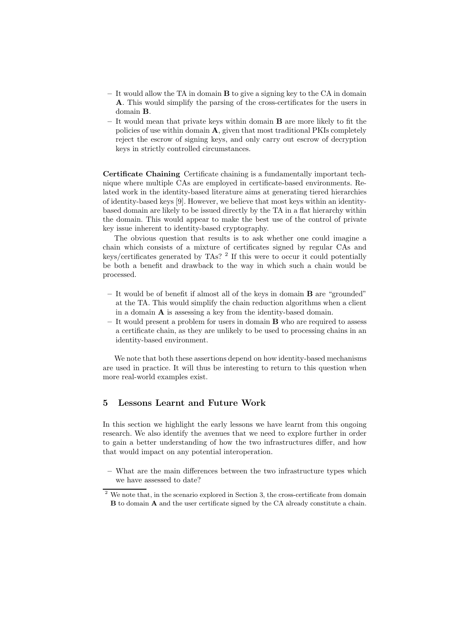- $-$  It would allow the TA in domain  $\bf{B}$  to give a signing key to the CA in domain A. This would simplify the parsing of the cross-certificates for the users in domain B.
- $-$  It would mean that private keys within domain **B** are more likely to fit the policies of use within domain  $\mathbf{A}$ , given that most traditional PKIs completely reject the escrow of signing keys, and only carry out escrow of decryption keys in strictly controlled circumstances.

Certificate Chaining Certificate chaining is a fundamentally important technique where multiple CAs are employed in certificate-based environments. Related work in the identity-based literature aims at generating tiered hierarchies of identity-based keys [9]. However, we believe that most keys within an identitybased domain are likely to be issued directly by the TA in a flat hierarchy within the domain. This would appear to make the best use of the control of private key issue inherent to identity-based cryptography.

The obvious question that results is to ask whether one could imagine a chain which consists of a mixture of certificates signed by regular CAs and keys/certificates generated by TAs? <sup>2</sup> If this were to occur it could potentially be both a benefit and drawback to the way in which such a chain would be processed.

- It would be of benefit if almost all of the keys in domain B are "grounded" at the TA. This would simplify the chain reduction algorithms when a client in a domain A is assessing a key from the identity-based domain.
- $-$  It would present a problem for users in domain **B** who are required to assess a certificate chain, as they are unlikely to be used to processing chains in an identity-based environment.

We note that both these assertions depend on how identity-based mechanisms are used in practice. It will thus be interesting to return to this question when more real-world examples exist.

# 5 Lessons Learnt and Future Work

In this section we highlight the early lessons we have learnt from this ongoing research. We also identify the avenues that we need to explore further in order to gain a better understanding of how the two infrastructures differ, and how that would impact on any potential interoperation.

– What are the main differences between the two infrastructure types which we have assessed to date?

<sup>&</sup>lt;sup>2</sup> We note that, in the scenario explored in Section 3, the cross-certificate from domain B to domain A and the user certificate signed by the CA already constitute a chain.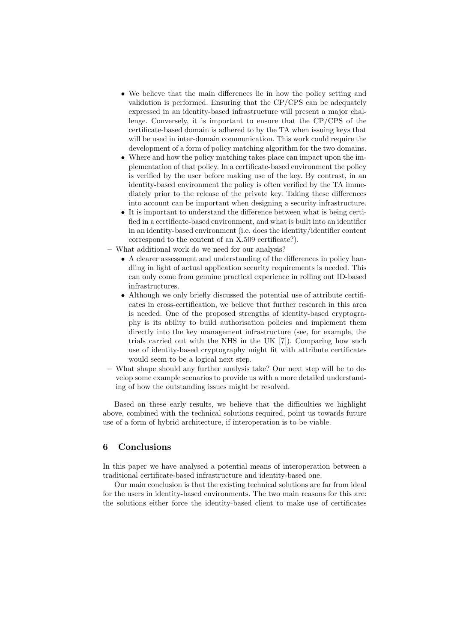- We believe that the main differences lie in how the policy setting and validation is performed. Ensuring that the CP/CPS can be adequately expressed in an identity-based infrastructure will present a major challenge. Conversely, it is important to ensure that the CP/CPS of the certificate-based domain is adhered to by the TA when issuing keys that will be used in inter-domain communication. This work could require the development of a form of policy matching algorithm for the two domains.
- Where and how the policy matching takes place can impact upon the implementation of that policy. In a certificate-based environment the policy is verified by the user before making use of the key. By contrast, in an identity-based environment the policy is often verified by the TA immediately prior to the release of the private key. Taking these differences into account can be important when designing a security infrastructure.
- It is important to understand the difference between what is being certified in a certificate-based environment, and what is built into an identifier in an identity-based environment (i.e. does the identity/identifier content correspond to the content of an X.509 certificate?).
- What additional work do we need for our analysis?
	- A clearer assessment and understanding of the differences in policy handling in light of actual application security requirements is needed. This can only come from genuine practical experience in rolling out ID-based infrastructures.
	- Although we only briefly discussed the potential use of attribute certificates in cross-certification, we believe that further research in this area is needed. One of the proposed strengths of identity-based cryptography is its ability to build authorisation policies and implement them directly into the key management infrastructure (see, for example, the trials carried out with the NHS in the UK [7]). Comparing how such use of identity-based cryptography might fit with attribute certificates would seem to be a logical next step.
- What shape should any further analysis take? Our next step will be to develop some example scenarios to provide us with a more detailed understanding of how the outstanding issues might be resolved.

Based on these early results, we believe that the difficulties we highlight above, combined with the technical solutions required, point us towards future use of a form of hybrid architecture, if interoperation is to be viable.

# 6 Conclusions

In this paper we have analysed a potential means of interoperation between a traditional certificate-based infrastructure and identity-based one.

Our main conclusion is that the existing technical solutions are far from ideal for the users in identity-based environments. The two main reasons for this are: the solutions either force the identity-based client to make use of certificates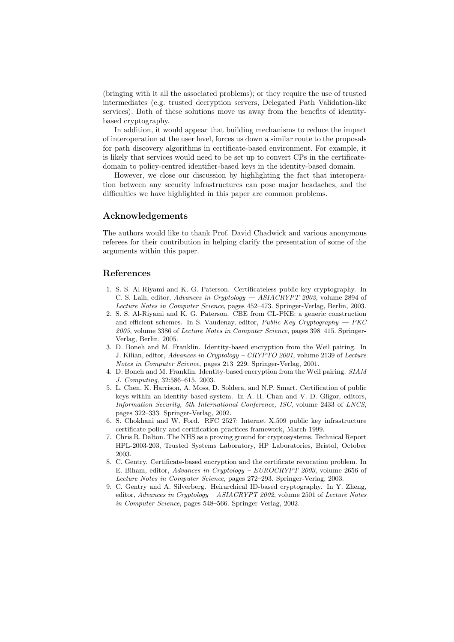(bringing with it all the associated problems); or they require the use of trusted intermediates (e.g. trusted decryption servers, Delegated Path Validation-like services). Both of these solutions move us away from the benefits of identitybased cryptography.

In addition, it would appear that building mechanisms to reduce the impact of interoperation at the user level, forces us down a similar route to the proposals for path discovery algorithms in certificate-based environment. For example, it is likely that services would need to be set up to convert CPs in the certificatedomain to policy-centred identifier-based keys in the identity-based domain.

However, we close our discussion by highlighting the fact that interoperation between any security infrastructures can pose major headaches, and the difficulties we have highlighted in this paper are common problems.

## Acknowledgements

The authors would like to thank Prof. David Chadwick and various anonymous referees for their contribution in helping clarify the presentation of some of the arguments within this paper.

### References

- 1. S. S. Al-Riyami and K. G. Paterson. Certificateless public key cryptography. In C. S. Laih, editor, Advances in Cryptology — ASIACRYPT 2003, volume 2894 of Lecture Notes in Computer Science, pages 452–473. Springer-Verlag, Berlin, 2003.
- 2. S. S. Al-Riyami and K. G. Paterson. CBE from CL-PKE: a generic construction and efficient schemes. In S. Vaudenay, editor, Public Key Cryptography  $-$  PKC 2005, volume 3386 of Lecture Notes in Computer Science, pages 398–415. Springer-Verlag, Berlin, 2005.
- 3. D. Boneh and M. Franklin. Identity-based encryption from the Weil pairing. In J. Kilian, editor, Advances in Cryptology – CRYPTO 2001, volume 2139 of Lecture Notes in Computer Science, pages 213–229. Springer-Verlag, 2001.
- 4. D. Boneh and M. Franklin. Identity-based encryption from the Weil pairing. SIAM J. Computing, 32:586–615, 2003.
- 5. L. Chen, K. Harrison, A. Moss, D. Soldera, and N.P. Smart. Certification of public keys within an identity based system. In A. H. Chan and V. D. Gligor, editors, Information Security, 5th International Conference, ISC, volume 2433 of LNCS, pages 322–333. Springer-Verlag, 2002.
- 6. S. Chokhani and W. Ford. RFC 2527: Internet X.509 public key infrastructure certificate policy and certification practices framework, March 1999.
- 7. Chris R. Dalton. The NHS as a proving ground for cryptosystems. Technical Report HPL-2003-203, Trusted Systems Laboratory, HP Laboratories, Bristol, October 2003.
- 8. C. Gentry. Certificate-based encryption and the certificate revocation problem. In E. Biham, editor, Advances in Cryptology – EUROCRYPT 2003, volume 2656 of Lecture Notes in Computer Science, pages 272–293. Springer-Verlag, 2003.
- 9. C. Gentry and A. Silverberg. Heirarchical ID-based cryptography. In Y. Zheng, editor, Advances in Cryptology – ASIACRYPT 2002, volume 2501 of Lecture Notes in Computer Science, pages 548–566. Springer-Verlag, 2002.